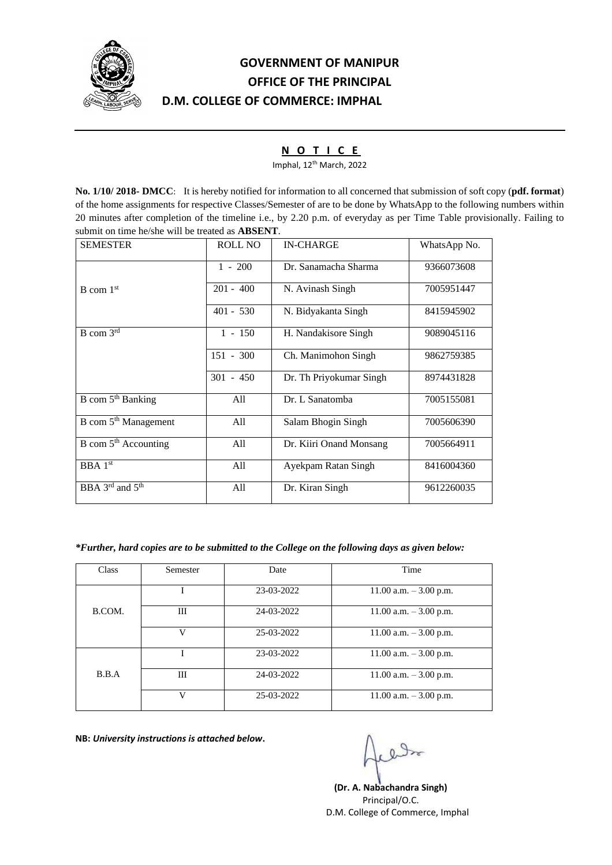

# **GOVERNMENT OF MANIPUR OFFICE OF THE PRINCIPAL D.M. COLLEGE OF COMMERCE: IMPHAL**

## **N O T I C E**

Imphal, 12th March, 2022

**No. 1/10/ 2018- DMCC**: It is hereby notified for information to all concerned that submission of soft copy (**pdf. format**) of the home assignments for respective Classes/Semester of are to be done by WhatsApp to the following numbers within 20 minutes after completion of the timeline i.e., by 2.20 p.m. of everyday as per Time Table provisionally. Failing to submit on time he/she will be treated as **ABSENT**.

| <b>SEMESTER</b>                         | <b>ROLL NO</b> | <b>IN-CHARGE</b>        | WhatsApp No. |
|-----------------------------------------|----------------|-------------------------|--------------|
|                                         | $1 - 200$      | Dr. Sanamacha Sharma    | 9366073608   |
| $B$ com $1st$                           | $201 - 400$    | N. Avinash Singh        | 7005951447   |
|                                         | $401 - 530$    | N. Bidyakanta Singh     | 8415945902   |
| $B$ com $3rd$                           | $1 - 150$      | H. Nandakisore Singh    | 9089045116   |
|                                         | $151 - 300$    | Ch. Manimohon Singh     | 9862759385   |
|                                         | $301 - 450$    | Dr. Th Priyokumar Singh | 8974431828   |
| B com $5th$ Banking                     | All            | Dr. L Sanatomba         | 7005155081   |
| B com 5 <sup>th</sup> Management        | All            | Salam Bhogin Singh      | 7005606390   |
| B com $5th$ Accounting                  | All            | Dr. Kiiri Onand Monsang | 7005664911   |
| BBA 1 <sup>st</sup>                     | All            | Ayekpam Ratan Singh     | 8416004360   |
| BBA $3^{\text{rd}}$ and $5^{\text{th}}$ | All            | Dr. Kiran Singh         | 9612260035   |

## *\*Further, hard copies are to be submitted to the College on the following days as given below:*

| Class  | Semester | Date       | Time                      |
|--------|----------|------------|---------------------------|
|        |          | 23-03-2022 | $11.00$ a.m. $-3.00$ p.m. |
| B.COM. | Ш        | 24-03-2022 | $11.00$ a.m. $-3.00$ p.m. |
|        | V        | 25-03-2022 | 11.00 a.m. $-3.00$ p.m.   |
|        |          | 23-03-2022 | 11.00 a.m. $-3.00$ p.m.   |
| B.B.A  | III      | 24-03-2022 | $11.00$ a.m. $-3.00$ p.m. |
|        | V        | 25-03-2022 | $11.00$ a.m. $-3.00$ p.m. |

**NB:** *University instructions is attached below***.**

**(Dr. A. Nabachandra Singh)** Principal/O.C. D.M. College of Commerce, Imphal